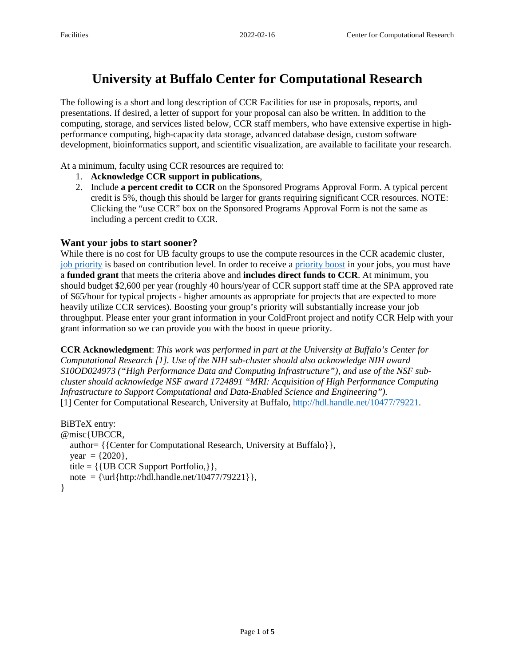# **University at Buffalo Center for Computational Research**

The following is a short and long description of CCR Facilities for use in proposals, reports, and presentations. If desired, a letter of support for your proposal can also be written. In addition to the computing, storage, and services listed below, CCR staff members, who have extensive expertise in highperformance computing, high-capacity data storage, advanced database design, custom software development, bioinformatics support, and scientific visualization, are available to facilitate your research.

At a minimum, faculty using CCR resources are required to:

- 1. **Acknowledge CCR support in publications**,
- 2. Include **a percent credit to CCR** on the Sponsored Programs Approval Form. A typical percent credit is 5%, though this should be larger for grants requiring significant CCR resources. NOTE: Clicking the "use CCR" box on the Sponsored Programs Approval Form is not the same as including a percent credit to CCR.

### **Want your jobs to start sooner?**

While there is no cost for UB faculty groups to use the compute resources in the CCR academic cluster, [job priority](https://ubccr.freshdesk.com/support/solutions/articles/5000686905-job-priority) is based on contribution level. In order to receive a [priority boost](https://ubccr.freshdesk.com/support/solutions/articles/5000686916-how-do-i-become-a-ccr-supporter-) in your jobs, you must have a **funded grant** that meets the criteria above and **includes direct funds to CCR**. At minimum, you should budget \$2,600 per year (roughly 40 hours/year of CCR support staff time at the SPA approved rate of \$65/hour for typical projects - higher amounts as appropriate for projects that are expected to more heavily utilize CCR services). Boosting your group's priority will substantially increase your job throughput. Please enter your grant information in your ColdFront project and notify CCR Help with your grant information so we can provide you with the boost in queue priority.

**CCR Acknowledgment**: *This work was performed in part at the University at Buffalo's Center for Computational Research [1]. Use of the NIH sub-cluster should also acknowledge NIH award S10OD024973 ("High Performance Data and Computing Infrastructure"), and use of the NSF subcluster should acknowledge NSF award 1724891 "MRI: Acquisition of High Performance Computing Infrastructure to Support Computational and Data-Enabled Science and Engineering").* [1] Center for Computational Research, University at Buffalo, [http://hdl.handle.net/10477/79221.](http://hdl.handle.net/10477/79221)

```
BiBTeX entry:
@misc{UBCCR,
   author= {{Center for Computational Research, University at Buffalo}},
  year = \{2020\},
   title = {{UB CCR Support Portfolio,}},
  note = {\l{http://hdl.handle.net/10477/79221\r},}
```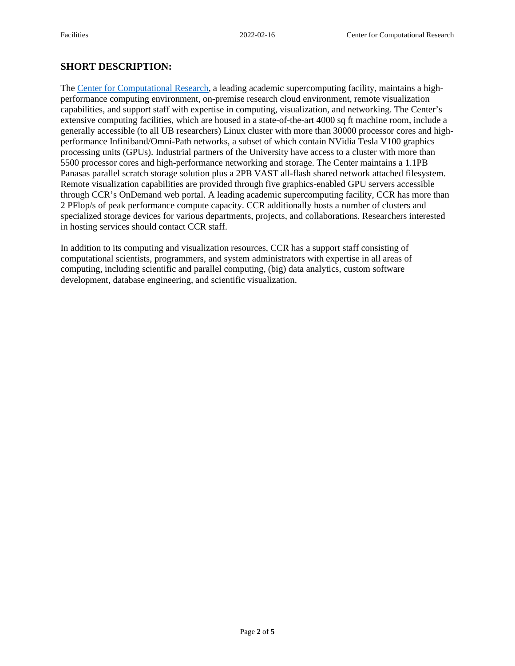# **SHORT DESCRIPTION:**

The [Center for Computational Research,](https://www.buffalo.edu/ccr.html) a leading academic supercomputing facility, maintains a highperformance computing environment, on-premise research cloud environment, remote visualization capabilities, and support staff with expertise in computing, visualization, and networking. The Center's extensive computing facilities, which are housed in a state-of-the-art 4000 sq ft machine room, include a generally accessible (to all UB researchers) Linux cluster with more than 30000 processor cores and highperformance Infiniband/Omni-Path networks, a subset of which contain NVidia Tesla V100 graphics processing units (GPUs). Industrial partners of the University have access to a cluster with more than 5500 processor cores and high-performance networking and storage. The Center maintains a 1.1PB Panasas parallel scratch storage solution plus a 2PB VAST all-flash shared network attached filesystem. Remote visualization capabilities are provided through five graphics-enabled GPU servers accessible through CCR's OnDemand web portal. A leading academic supercomputing facility, CCR has more than 2 PFlop/s of peak performance compute capacity. CCR additionally hosts a number of clusters and specialized storage devices for various departments, projects, and collaborations. Researchers interested in hosting services should contact CCR staff.

In addition to its computing and visualization resources, CCR has a support staff consisting of computational scientists, programmers, and system administrators with expertise in all areas of computing, including scientific and parallel computing, (big) data analytics, custom software development, database engineering, and scientific visualization.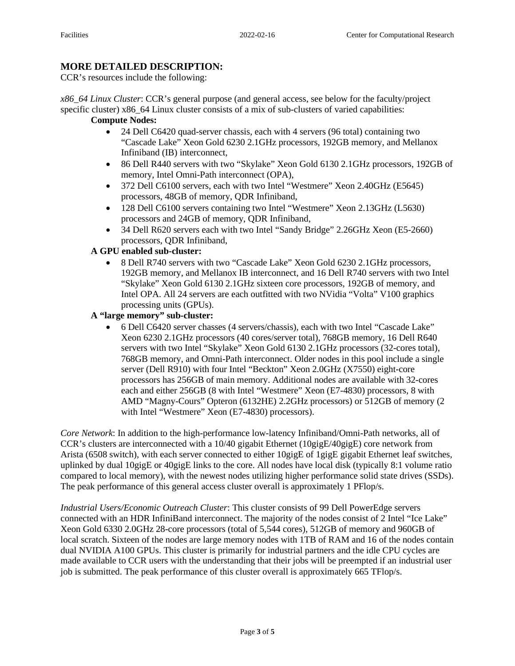# **MORE DETAILED DESCRIPTION:**

CCR's resources include the following:

*x86\_64 Linux Cluster*: CCR's general purpose (and general access, see below for the faculty/project specific cluster) x86\_64 Linux cluster consists of a mix of sub-clusters of varied capabilities:

# **Compute Nodes:**

- 24 Dell C6420 quad-server chassis, each with 4 servers (96 total) containing two "Cascade Lake" Xeon Gold 6230 2.1GHz processors, 192GB memory, and Mellanox Infiniband (IB) interconnect,
- 86 Dell R440 servers with two "Skylake" Xeon Gold 6130 2.1GHz processors, 192GB of memory, Intel Omni-Path interconnect (OPA),
- 372 Dell C6100 servers, each with two Intel "Westmere" Xeon 2.40GHz (E5645) processors, 48GB of memory, QDR Infiniband,
- 128 Dell C6100 servers containing two Intel "Westmere" Xeon 2.13GHz (L5630) processors and 24GB of memory, QDR Infiniband,
- 34 Dell R620 servers each with two Intel "Sandy Bridge" 2.26GHz Xeon (E5-2660) processors, QDR Infiniband,

### **A GPU enabled sub-cluster:**

• 8 Dell R740 servers with two "Cascade Lake" Xeon Gold 6230 2.1GHz processors, 192GB memory, and Mellanox IB interconnect, and 16 Dell R740 servers with two Intel "Skylake" Xeon Gold 6130 2.1GHz sixteen core processors, 192GB of memory, and Intel OPA. All 24 servers are each outfitted with two NVidia "Volta" V100 graphics processing units (GPUs).

## **A "large memory" sub-cluster:**

• 6 Dell C6420 server chasses (4 servers/chassis), each with two Intel "Cascade Lake" Xeon 6230 2.1GHz processors (40 cores/server total), 768GB memory, 16 Dell R640 servers with two Intel "Skylake" Xeon Gold 6130 2.1GHz processors (32-cores total), 768GB memory, and Omni-Path interconnect. Older nodes in this pool include a single server (Dell R910) with four Intel "Beckton" Xeon 2.0GHz (X7550) eight-core processors has 256GB of main memory. Additional nodes are available with 32-cores each and either 256GB (8 with Intel "Westmere" Xeon (E7-4830) processors, 8 with AMD "Magny-Cours" Opteron (6132HE) 2.2GHz processors) or 512GB of memory (2 with Intel "Westmere" Xeon (E7-4830) processors).

*Core Network*: In addition to the high-performance low-latency Infiniband/Omni-Path networks, all of CCR's clusters are interconnected with a 10/40 gigabit Ethernet (10gigE/40gigE) core network from Arista (6508 switch), with each server connected to either 10gigE of 1gigE gigabit Ethernet leaf switches, uplinked by dual 10gigE or 40gigE links to the core. All nodes have local disk (typically 8:1 volume ratio compared to local memory), with the newest nodes utilizing higher performance solid state drives (SSDs). The peak performance of this general access cluster overall is approximately 1 PFlop/s.

*Industrial Users/Economic Outreach Cluster*: This cluster consists of 99 Dell PowerEdge servers connected with an HDR InfiniBand interconnect. The majority of the nodes consist of 2 Intel "Ice Lake" Xeon Gold 6330 2.0GHz 28-core processors (total of 5,544 cores), 512GB of memory and 960GB of local scratch. Sixteen of the nodes are large memory nodes with 1TB of RAM and 16 of the nodes contain dual NVIDIA A100 GPUs. This cluster is primarily for industrial partners and the idle CPU cycles are made available to CCR users with the understanding that their jobs will be preempted if an industrial user job is submitted. The peak performance of this cluster overall is approximately 665 TFlop/s.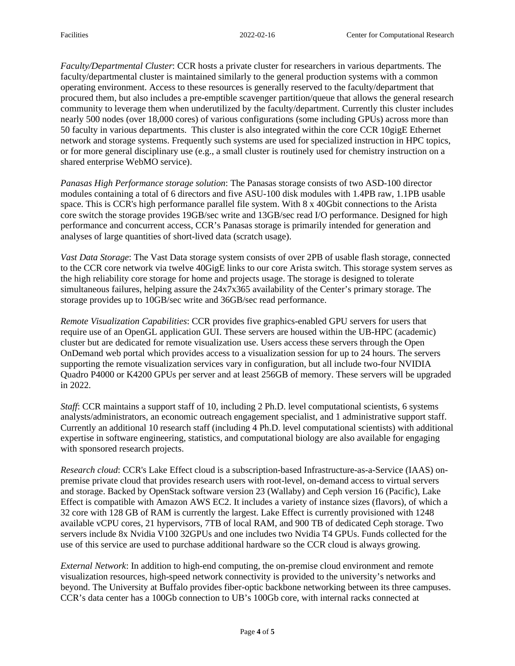*Faculty/Departmental Cluster*: CCR hosts a private cluster for researchers in various departments. The faculty/departmental cluster is maintained similarly to the general production systems with a common operating environment. Access to these resources is generally reserved to the faculty/department that procured them, but also includes a pre-emptible scavenger partition/queue that allows the general research community to leverage them when underutilized by the faculty/department. Currently this cluster includes nearly 500 nodes (over 18,000 cores) of various configurations (some including GPUs) across more than 50 faculty in various departments. This cluster is also integrated within the core CCR 10gigE Ethernet network and storage systems. Frequently such systems are used for specialized instruction in HPC topics, or for more general disciplinary use (e.g., a small cluster is routinely used for chemistry instruction on a shared enterprise WebMO service).

*Panasas High Performance storage solution*: The Panasas storage consists of two ASD-100 director modules containing a total of 6 directors and five ASU-100 disk modules with 1.4PB raw, 1.1PB usable space. This is CCR's high performance parallel file system. With 8 x 40Gbit connections to the Arista core switch the storage provides 19GB/sec write and 13GB/sec read I/O performance. Designed for high performance and concurrent access, CCR's Panasas storage is primarily intended for generation and analyses of large quantities of short-lived data (scratch usage).

*Vast Data Storage*: The Vast Data storage system consists of over 2PB of usable flash storage, connected to the CCR core network via twelve 40GigE links to our core Arista switch. This storage system serves as the high reliability core storage for home and projects usage. The storage is designed to tolerate simultaneous failures, helping assure the 24x7x365 availability of the Center's primary storage. The storage provides up to 10GB/sec write and 36GB/sec read performance.

*Remote Visualization Capabilities*: CCR provides five graphics-enabled GPU servers for users that require use of an OpenGL application GUI. These servers are housed within the UB-HPC (academic) cluster but are dedicated for remote visualization use. Users access these servers through the Open OnDemand web portal which provides access to a visualization session for up to 24 hours. The servers supporting the remote visualization services vary in configuration, but all include two-four NVIDIA Quadro P4000 or K4200 GPUs per server and at least 256GB of memory. These servers will be upgraded in 2022.

*Staff*: CCR maintains a support staff of 10, including 2 Ph.D. level computational scientists, 6 systems analysts/administrators, an economic outreach engagement specialist, and 1 administrative support staff. Currently an additional 10 research staff (including 4 Ph.D. level computational scientists) with additional expertise in software engineering, statistics, and computational biology are also available for engaging with sponsored research projects.

*Research cloud*: CCR's Lake Effect cloud is a subscription-based Infrastructure-as-a-Service (IAAS) onpremise private cloud that provides research users with root-level, on-demand access to virtual servers and storage. Backed by OpenStack software version 23 (Wallaby) and Ceph version 16 (Pacific), Lake Effect is compatible with Amazon AWS EC2. It includes a variety of instance sizes (flavors), of which a 32 core with 128 GB of RAM is currently the largest. Lake Effect is currently provisioned with 1248 available vCPU cores, 21 hypervisors, 7TB of local RAM, and 900 TB of dedicated Ceph storage. Two servers include 8x Nvidia V100 32GPUs and one includes two Nvidia T4 GPUs. Funds collected for the use of this service are used to purchase additional hardware so the CCR cloud is always growing.

*External Network*: In addition to high-end computing, the on-premise cloud environment and remote visualization resources, high-speed network connectivity is provided to the university's networks and beyond. The University at Buffalo provides fiber-optic backbone networking between its three campuses. CCR's data center has a 100Gb connection to UB's 100Gb core, with internal racks connected at